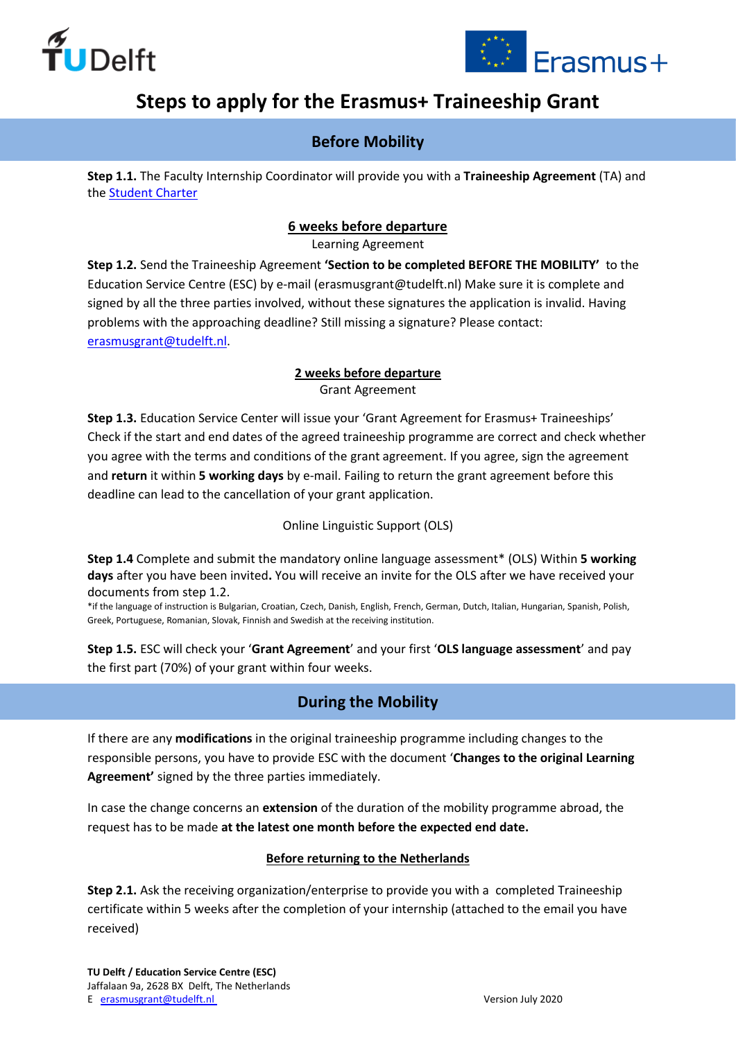



# **Steps to apply for the Erasmus+ Traineeship Grant**

## **Before Mobility**

**Step 1.1.** The Faculty Internship Coordinator will provide you with a **Traineeship Agreement** (TA) and the [Student Charter](https://d1rkab7tlqy5f1.cloudfront.net/Studentenportal/Centraal/Academische%20ondersteuning/Study%20%26%20Internship%20Abroad/Funding%20and%20Scholarships/20170523_Erasmus_student_charter_2017.pdf)

#### **6 weeks before departure**

Learning Agreement

**Step 1.2.** Send the Traineeship Agreement **'Section to be completed BEFORE THE MOBILITY'** to the Education Service Centre (ESC) by e-mail (erasmusgrant@tudelft.nl) Make sure it is complete and signed by all the three parties involved, without these signatures the application is invalid. Having problems with the approaching deadline? Still missing a signature? Please contact: [erasmusgrant@tudelft.nl.](mailto:erasmusgrant@tudelft.nl)

#### **2 weeks before departure** Grant Agreement

**Step 1.3.** Education Service Center will issue your 'Grant Agreement for Erasmus+ Traineeships' Check if the start and end dates of the agreed traineeship programme are correct and check whether you agree with the terms and conditions of the grant agreement. If you agree, sign the agreement and **return** it within **5 working days** by e-mail. Failing to return the grant agreement before this deadline can lead to the cancellation of your grant application.

Online Linguistic Support (OLS)

**Step 1.4** Complete and submit the mandatory online language assessment\* (OLS) Within **5 working days** after you have been invited**.** You will receive an invite for the OLS after we have received your documents from step 1.2.

\*if the language of instruction is Bulgarian, Croatian, Czech, Danish, English, French, German, Dutch, Italian, Hungarian, Spanish, Polish, Greek, Portuguese, Romanian, Slovak, Finnish and Swedish at the receiving institution.

**Step 1.5.** ESC will check your '**Grant Agreement**' and your first '**OLS language assessment**' and pay the first part (70%) of your grant within four weeks.

# **During the Mobility**

If there are any **modifications** in the original traineeship programme including changes to the responsible persons, you have to provide ESC with the document '**Changes to the original Learning Agreement'** signed by the three parties immediately.

In case the change concerns an **extension** of the duration of the mobility programme abroad, the request has to be made **at the latest one month before the expected end date.**

#### **Before returning to the Netherlands**

**Step 2.1.** Ask the receiving organization/enterprise to provide you with a completed Traineeship certificate within 5 weeks after the completion of your internship (attached to the email you have received)